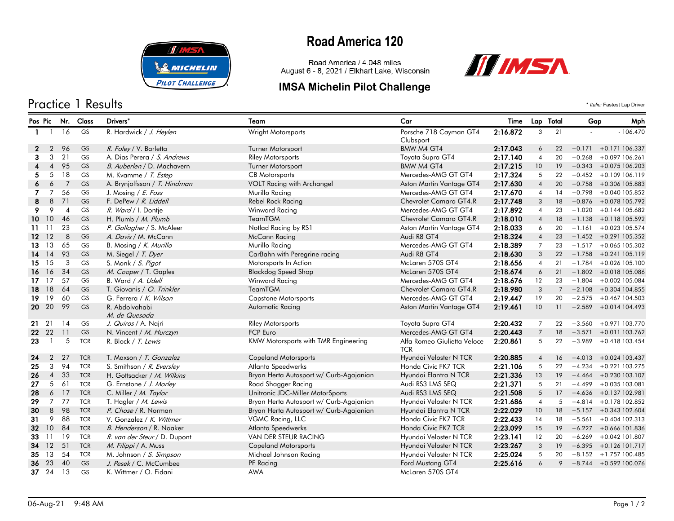

### Practice 1 Results \* *Italic:* Fastest Lap Driver

# **Road America 120**

Road America / 4.048 miles August 6 - 8, 2021 / Elkhart Lake, Wisconsin

### **IMSA Michelin Pilot Challenge**



|              | Pos Pic        | Nr. Class      |            | Drivers*                     | Team                                    | Car                                       | Time     | Lap Total      |             | Mph<br>Gap |                           |
|--------------|----------------|----------------|------------|------------------------------|-----------------------------------------|-------------------------------------------|----------|----------------|-------------|------------|---------------------------|
| $\mathbf{1}$ |                | 16             | GS         | R. Hardwick / J. Heylen      | Wright Motorsports                      | Porsche 718 Cayman GT4<br>Clubsport       | 2:16.872 | 3              | 21          |            | $-106.470$                |
| 2            | 2              | 96             | <b>GS</b>  | R. Foley / V. Barletta       | <b>Turner Motorsport</b>                | BMW M4 GT4                                | 2:17.043 | 6              | 22          |            | $+0.171 + 0.171106.337$   |
| 3            | 3              | 21             | <b>GS</b>  | A. Dias Perera / S. Andrews  | <b>Riley Motorsports</b>                | Toyota Supra GT4                          | 2:17.140 | 4              | 20          | $+0.268$   | $+0.097$ 106.261          |
|              | $\overline{4}$ | 95             | <b>GS</b>  | B. Auberlen / D. Machavern   | Turner Motorsport                       | BMW M4 GT4                                | 2:17.215 | 10             | 19          | $+0.343$   | +0.075 106.203            |
| 5.           | 5              | 18             | GS         | M. Kvamme / T. Estep         | <b>CB</b> Motorsports                   | Mercedes-AMG GT GT4                       | 2:17.324 | 5              | 22          | $+0.452$   | +0.109 106.119            |
| 6            | 6              | $\overline{7}$ | GS         | A. Brynjolfsson / T. Hindman | VOLT Racing with Archangel              | Aston Martin Vantage GT4                  | 2:17.630 | $\overline{4}$ | 20          | $+0.758$   | +0.306 105.883            |
| 7            | $\overline{7}$ | 56             | <b>GS</b>  | J. Mosing / E. Foss          | Murillo Racing                          | Mercedes-AMG GT GT4                       | 2:17.670 | $\overline{4}$ | 14          | $+0.798$   | +0.040 105.852            |
| 8            | 8              | 71             | <b>GS</b>  | F. DePew / R. Liddell        | Rebel Rock Racing                       | <b>Chevrolet Camaro GT4.R</b>             | 2:17.748 | 3              | 18          |            | $+0.876 + 0.078$ 105.792  |
| 9.           | 9              | $\overline{4}$ | GS         | R. Ward / I. Dontje          | Winward Racing                          | Mercedes-AMG GT GT4                       | 2:17.892 | $\overline{4}$ | 23          | $+1.020$   | +0.144 105.682            |
|              | 1010           | 46             | <b>GS</b>  | H. Plumb / M. Plumb          | <b>TeamTGM</b>                          | <b>Chevrolet Camaro GT4.R</b>             | 2:18.010 | $\overline{4}$ | 18          | $+1.138$   | +0.118 105.592            |
| 11.          | -11            | 23             | GS         | P. Gallagher / S. McAleer    | Notlad Racing by RS1                    | Aston Martin Vantage GT4                  | 2:18.033 | 6              | 20          | $+1.161$   | +0.023 105.574            |
|              | $12 \t12$      | 8              | <b>GS</b>  | A. Davis / M. McCann         | <b>McCann Racing</b>                    | Audi R8 GT4                               | 2:18.324 | $\overline{4}$ | 23          |            | $+1.452 + 0.291105.352$   |
|              | 13 13          | 65             | <b>GS</b>  | B. Mosing / K. Murillo       | Murillo Racing                          | Mercedes-AMG GT GT4                       | 2:18.389 | $\overline{7}$ | 23          |            | $+1.517 + 0.065105.302$   |
| 14           | 14             | 93             | GS         | M. Siegel / T. Dyer          | CarBahn with Peregrine racing           | Audi R8 GT4                               | 2:18.630 | 3              | 22          | $+1.758$   | +0.241 105.119            |
| 15           | 15             | 3              | GS         | S. Monk / S. Pigot           | Motorsports In Action                   | McLaren 570S GT4                          | 2:18.656 | $\overline{4}$ | 21          | $+1.784$   | +0.026 105.100            |
| 16           | 16             | 34             | <b>GS</b>  | M. Cooper / T. Gaples        | <b>Blackdog Speed Shop</b>              | McLaren 570S GT4                          | 2:18.674 | 6              | 21          | $+1.802$   | +0.018 105.086            |
|              | $17 \quad 17$  | 57             | GS         | B. Ward / A. Udell           | Winward Racing                          | Mercedes-AMG GT GT4                       | 2:18.676 | 12             | 23          | $+1.804$   | +0.002 105.084            |
| 18           | <b>18</b>      | 64             | <b>GS</b>  | T. Giovanis / O. Trinkler    | <b>TeamTGM</b>                          | <b>Chevrolet Camaro GT4.R</b>             | 2:18.980 | 3              | $7^{\circ}$ | $+2.108$   | $+0.304$ 104.855          |
|              | 19 19          | 60             | <b>GS</b>  | G. Ferrera / K. Wilson       | <b>Capstone Motorsports</b>             | Mercedes-AMG GT GT4                       | 2:19.447 | 19             | 20          | $+2.575$   | +0.467 104.503            |
|              | 20 20          | 99             | <b>GS</b>  | R. Abdolvahabi               | <b>Automatic Racing</b>                 | Aston Martin Vantage GT4                  | 2:19.461 | 10             | 11          | $+2.589$   | +0.014 104.493            |
|              |                |                |            | M. de Quesada                |                                         |                                           |          |                |             |            |                           |
|              | 21 21          | 14             | GS         | J. Quiros / A. Najri         | <b>Riley Motorsports</b>                | Toyota Supra GT4                          | 2:20.432 | $\overline{7}$ | 22          |            | +3.560 +0.971 103.770     |
|              | 22 22          | 11             | <b>GS</b>  | N. Vincent / M. Hurczyn      | <b>FCP Euro</b>                         | Mercedes-AMG GT GT4                       | 2:20.443 | $\overline{7}$ | 18          |            | +3.571 +0.011 103.762     |
| 23           | $\overline{1}$ | 5              | <b>TCR</b> | R. Block / T. Lewis          | KMW Motorsports with TMR Engineering    | Alfa Romeo Giulietta Veloce<br><b>TCR</b> | 2:20.861 | 5              | 22          | $+3.989$   | +0.418 103.454            |
| 24           | $\overline{2}$ | 27             | <b>TCR</b> | T. Maxson / T. Gonzalez      | <b>Copeland Motorsports</b>             | Hyundai Veloster N TCR                    | 2:20.885 | $\overline{4}$ | 16          | $+4.013$   | +0.024 103.437            |
| 25           | 3              | 94             | <b>TCR</b> | S. Smithson / R. Eversley    | Atlanta Speedwerks                      | Honda Civic FK7 TCR                       | 2:21.106 | 5              | 22          | $+4.234$   | +0.221 103.275            |
| 26           | $\overline{4}$ | 33             | <b>TCR</b> | H. Gottsacker / M. Wilkins   | Bryan Herta Autosport w/ Curb-Agajanian | Hyundai Elantra N TCR                     | 2:21.336 | 13             | 19          | $+4.464$   | +0.230 103.107            |
| 27           | 5              | 61             | <b>TCR</b> | G. Ernstone / J. Morley      | Road Shagger Racing                     | Audi RS3 LMS SEQ                          | 2:21.371 | 5              | 21          | $+4.499$   | +0.035 103.081            |
| 28           |                | 6 17           | <b>TCR</b> | C. Miller / M. Taylor        | Unitronic JDC-Miller MotorSports        | Audi RS3 LMS SEQ                          | 2:21.508 | 5              | 17          | $+4.636$   | +0.137 102.981            |
| 29           | $\overline{7}$ | 77             | <b>TCR</b> | T. Hagler / M. Lewis         | Bryan Herta Autosport w/ Curb-Agajanian | Hyundai Veloster N TCR                    | 2:21.686 | $\overline{4}$ | 5           |            | $+4.814 + 0.178102.852$   |
| 30           | 8              | 98             | <b>TCR</b> | P. Chase / R. Norman         | Bryan Herta Autosport w/ Curb-Agajanian | Hyundai Elantra N TCR                     | 2:22.029 | 10             | 18          |            | $+5.157$ $+0.343$ 102.604 |
| 31           | 9              | 88             | <b>TCR</b> | V. Gonzalez / K. Wittmer     | VGMC Racing, LLC                        | Honda Civic FK7 TCR                       | 2:22.433 | 14             | 18          | $+5.561$   | $+0.404$ 102.313          |
| 32           | 10             | 84             | <b>TCR</b> | B. Henderson / R. Noaker     | Atlanta Speedwerks                      | Honda Civic FK7 TCR                       | 2:23.099 | 15             | 19          | $+6.227$   | +0.666 101.836            |
| 33           | -11            | 19             | <b>TCR</b> | R. van der Steur / D. Dupont | VAN DER STEUR RACING                    | Hyundai Veloster N TCR                    | 2:23.141 | 12             | 20          | $+6.269$   | +0.042 101.807            |
| 34           | <sup>12</sup>  | 51             | <b>TCR</b> | M. Filippi / A. Muss         | <b>Copeland Motorsports</b>             | Hyundai Veloster N TCR                    | 2:23.267 | $\sqrt{3}$     | 19          | $+6.395$   | +0.126 101.717            |
| 35           | 13             | 54             | <b>TCR</b> | M. Johnson / S. Simpson      | Michael Johnson Racing                  | Hyundai Veloster N TCR                    | 2:25.024 | 5              | 20          |            | $+8.152 + 1.757100.485$   |
| 36           | 23             | 40             | <b>GS</b>  | J. Pesek / C. McCumbee       | PF Racing                               | Ford Mustang GT4                          | 2:25.616 | 6              | 9           |            | $+8.744 + 0.592100.076$   |
|              | 37 24          | 13             | <b>GS</b>  | K. Wittmer / O. Fidani       | <b>AWA</b>                              | McLaren 570S GT4                          |          |                |             |            |                           |